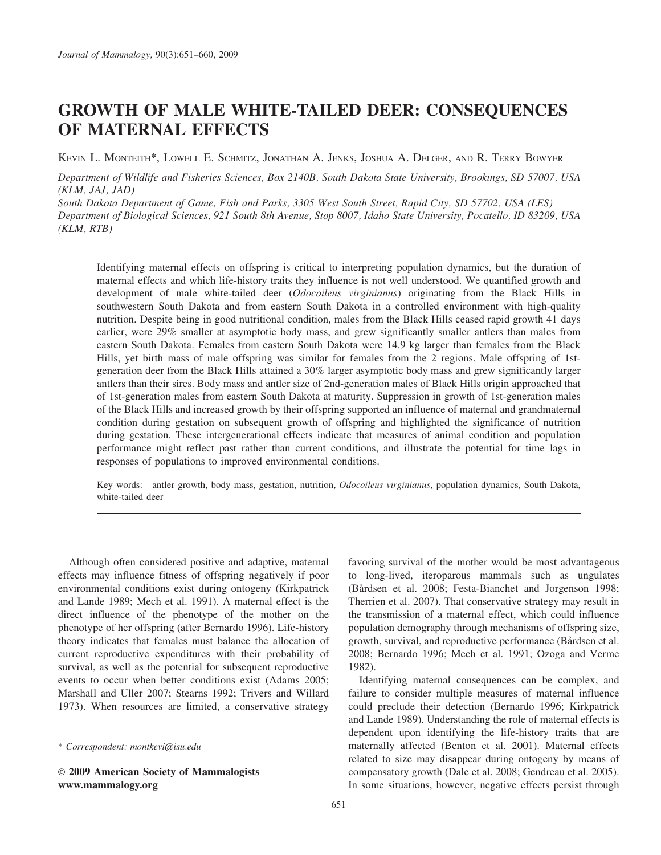# GROWTH OF MALE WHITE-TAILED DEER: CONSEQUENCES OF MATERNAL EFFECTS

KEVIN L. MONTEITH\*, LOWELL E. SCHMITZ, JONATHAN A. JENKS, JOSHUA A. DELGER, AND R. TERRY BOWYER

Department of Wildlife and Fisheries Sciences, Box 2140B, South Dakota State University, Brookings, SD 57007, USA (KLM, JAJ, JAD)

South Dakota Department of Game, Fish and Parks, 3305 West South Street, Rapid City, SD 57702, USA (LES) Department of Biological Sciences, 921 South 8th Avenue, Stop 8007, Idaho State University, Pocatello, ID 83209, USA (KLM, RTB)

Identifying maternal effects on offspring is critical to interpreting population dynamics, but the duration of maternal effects and which life-history traits they influence is not well understood. We quantified growth and development of male white-tailed deer *(Odocoileus virginianus)* originating from the Black Hills in southwestern South Dakota and from eastern South Dakota in a controlled environment with high-quality nutrition. Despite being in good nutritional condition, males from the Black Hills ceased rapid growth 41 days earlier, were 29% smaller at asymptotic body mass, and grew significantly smaller antlers than males from eastern South Dakota. Females from eastern South Dakota were 14.9 kg larger than females from the Black Hills, yet birth mass of male offspring was similar for females from the 2 regions. Male offspring of 1stgeneration deer from the Black Hills attained a 30% larger asymptotic body mass and grew significantly larger antlers than their sires. Body mass and antler size of 2nd-generation males of Black Hills origin approached that of 1st-generation males from eastern South Dakota at maturity. Suppression in growth of 1st-generation males of the Black Hills and increased growth by their offspring supported an influence of maternal and grandmaternal condition during gestation on subsequent growth of offspring and highlighted the significance of nutrition during gestation. These intergenerational effects indicate that measures of animal condition and population performance might reflect past rather than current conditions, and illustrate the potential for time lags in responses of populations to improved environmental conditions.

Key words: antler growth, body mass, gestation, nutrition, Odocoileus virginianus, population dynamics, South Dakota, white-tailed deer

Although often considered positive and adaptive, maternal effects may influence fitness of offspring negatively if poor environmental conditions exist during ontogeny (Kirkpatrick and Lande 1989; Mech et al. 1991). A maternal effect is the direct influence of the phenotype of the mother on the phenotype of her offspring (after Bernardo 1996). Life-history theory indicates that females must balance the allocation of current reproductive expenditures with their probability of survival, as well as the potential for subsequent reproductive events to occur when better conditions exist (Adams 2005; Marshall and Uller 2007; Stearns 1992; Trivers and Willard 1973). When resources are limited, a conservative strategy

favoring survival of the mother would be most advantageous to long-lived, iteroparous mammals such as ungulates (Bårdsen et al. 2008; Festa-Bianchet and Jorgenson 1998; Therrien et al. 2007). That conservative strategy may result in the transmission of a maternal effect, which could influence population demography through mechanisms of offspring size, growth, survival, and reproductive performance (Bårdsen et al. 2008; Bernardo 1996; Mech et al. 1991; Ozoga and Verme 1982).

Identifying maternal consequences can be complex, and failure to consider multiple measures of maternal influence could preclude their detection (Bernardo 1996; Kirkpatrick and Lande 1989). Understanding the role of maternal effects is dependent upon identifying the life-history traits that are maternally affected (Benton et al. 2001). Maternal effects related to size may disappear during ontogeny by means of compensatory growth (Dale et al. 2008; Gendreau et al. 2005). In some situations, however, negative effects persist through

<sup>\*</sup> Correspondent: montkevi@isu.edu

E 2009 American Society of Mammalogists www.mammalogy.org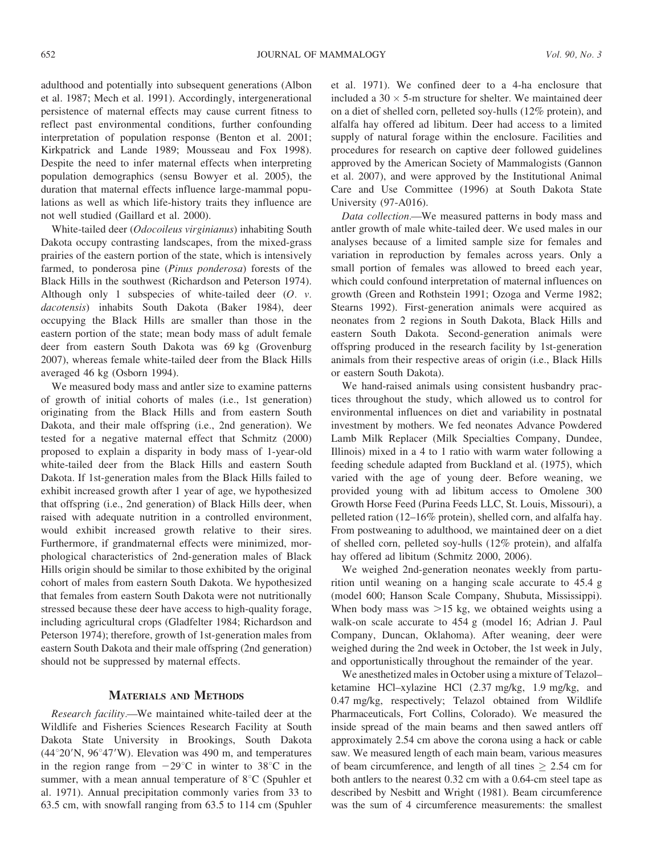adulthood and potentially into subsequent generations (Albon et al. 1987; Mech et al. 1991). Accordingly, intergenerational persistence of maternal effects may cause current fitness to reflect past environmental conditions, further confounding interpretation of population response (Benton et al. 2001; Kirkpatrick and Lande 1989; Mousseau and Fox 1998). Despite the need to infer maternal effects when interpreting population demographics (sensu Bowyer et al. 2005), the duration that maternal effects influence large-mammal populations as well as which life-history traits they influence are not well studied (Gaillard et al. 2000).

White-tailed deer (Odocoileus virginianus) inhabiting South Dakota occupy contrasting landscapes, from the mixed-grass prairies of the eastern portion of the state, which is intensively farmed, to ponderosa pine (Pinus ponderosa) forests of the Black Hills in the southwest (Richardson and Peterson 1974). Although only 1 subspecies of white-tailed deer (O. v. dacotensis) inhabits South Dakota (Baker 1984), deer occupying the Black Hills are smaller than those in the eastern portion of the state; mean body mass of adult female deer from eastern South Dakota was 69 kg (Grovenburg 2007), whereas female white-tailed deer from the Black Hills averaged 46 kg (Osborn 1994).

We measured body mass and antler size to examine patterns of growth of initial cohorts of males (i.e., 1st generation) originating from the Black Hills and from eastern South Dakota, and their male offspring (i.e., 2nd generation). We tested for a negative maternal effect that Schmitz (2000) proposed to explain a disparity in body mass of 1-year-old white-tailed deer from the Black Hills and eastern South Dakota. If 1st-generation males from the Black Hills failed to exhibit increased growth after 1 year of age, we hypothesized that offspring (i.e., 2nd generation) of Black Hills deer, when raised with adequate nutrition in a controlled environment, would exhibit increased growth relative to their sires. Furthermore, if grandmaternal effects were minimized, morphological characteristics of 2nd-generation males of Black Hills origin should be similar to those exhibited by the original cohort of males from eastern South Dakota. We hypothesized that females from eastern South Dakota were not nutritionally stressed because these deer have access to high-quality forage, including agricultural crops (Gladfelter 1984; Richardson and Peterson 1974); therefore, growth of 1st-generation males from eastern South Dakota and their male offspring (2nd generation) should not be suppressed by maternal effects.

#### MATERIALS AND METHODS

Research facility.—We maintained white-tailed deer at the Wildlife and Fisheries Sciences Research Facility at South Dakota State University in Brookings, South Dakota  $(44^{\circ}20^{\prime}N, 96^{\circ}47^{\prime}W)$ . Elevation was 490 m, and temperatures in the region range from  $-29^{\circ}\text{C}$  in winter to 38<sup>°</sup>C in the summer, with a mean annual temperature of  $8^{\circ}$ C (Spuhler et al. 1971). Annual precipitation commonly varies from 33 to 63.5 cm, with snowfall ranging from 63.5 to 114 cm (Spuhler et al. 1971). We confined deer to a 4-ha enclosure that included a  $30 \times 5$ -m structure for shelter. We maintained deer on a diet of shelled corn, pelleted soy-hulls (12% protein), and alfalfa hay offered ad libitum. Deer had access to a limited supply of natural forage within the enclosure. Facilities and procedures for research on captive deer followed guidelines approved by the American Society of Mammalogists (Gannon et al. 2007), and were approved by the Institutional Animal Care and Use Committee (1996) at South Dakota State University (97-A016).

Data collection.—We measured patterns in body mass and antler growth of male white-tailed deer. We used males in our analyses because of a limited sample size for females and variation in reproduction by females across years. Only a small portion of females was allowed to breed each year, which could confound interpretation of maternal influences on growth (Green and Rothstein 1991; Ozoga and Verme 1982; Stearns 1992). First-generation animals were acquired as neonates from 2 regions in South Dakota, Black Hills and eastern South Dakota. Second-generation animals were offspring produced in the research facility by 1st-generation animals from their respective areas of origin (i.e., Black Hills or eastern South Dakota).

We hand-raised animals using consistent husbandry practices throughout the study, which allowed us to control for environmental influences on diet and variability in postnatal investment by mothers. We fed neonates Advance Powdered Lamb Milk Replacer (Milk Specialties Company, Dundee, Illinois) mixed in a 4 to 1 ratio with warm water following a feeding schedule adapted from Buckland et al. (1975), which varied with the age of young deer. Before weaning, we provided young with ad libitum access to Omolene 300 Growth Horse Feed (Purina Feeds LLC, St. Louis, Missouri), a pelleted ration (12–16% protein), shelled corn, and alfalfa hay. From postweaning to adulthood, we maintained deer on a diet of shelled corn, pelleted soy-hulls (12% protein), and alfalfa hay offered ad libitum (Schmitz 2000, 2006).

We weighed 2nd-generation neonates weekly from parturition until weaning on a hanging scale accurate to 45.4 g (model 600; Hanson Scale Company, Shubuta, Mississippi). When body mass was  $>15$  kg, we obtained weights using a walk-on scale accurate to 454 g (model 16; Adrian J. Paul Company, Duncan, Oklahoma). After weaning, deer were weighed during the 2nd week in October, the 1st week in July, and opportunistically throughout the remainder of the year.

We anesthetized males in October using a mixture of Telazol– ketamine HCl–xylazine HCl (2.37 mg/kg, 1.9 mg/kg, and 0.47 mg/kg, respectively; Telazol obtained from Wildlife Pharmaceuticals, Fort Collins, Colorado). We measured the inside spread of the main beams and then sawed antlers off approximately 2.54 cm above the corona using a hack or cable saw. We measured length of each main beam, various measures of beam circumference, and length of all tines  $\geq 2.54$  cm for both antlers to the nearest 0.32 cm with a 0.64-cm steel tape as described by Nesbitt and Wright (1981). Beam circumference was the sum of 4 circumference measurements: the smallest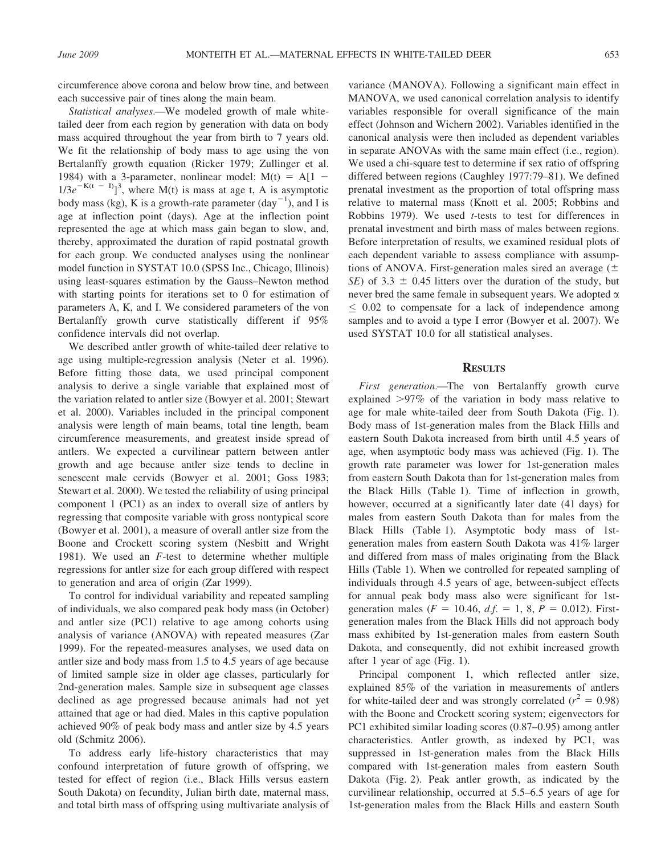circumference above corona and below brow tine, and between each successive pair of tines along the main beam.

Statistical analyses.—We modeled growth of male whitetailed deer from each region by generation with data on body mass acquired throughout the year from birth to 7 years old. We fit the relationship of body mass to age using the von Bertalanffy growth equation (Ricker 1979; Zullinger et al. 1984) with a 3-parameter, nonlinear model:  $M(t) = A[1 1/3e^{-K(t - I)}$ <sup>3</sup>, where M(t) is mass at age t, A is asymptotic body mass (kg), K is a growth-rate parameter  $\left(\text{day}^{-1}\right)$ , and I is age at inflection point (days). Age at the inflection point represented the age at which mass gain began to slow, and, thereby, approximated the duration of rapid postnatal growth for each group. We conducted analyses using the nonlinear model function in SYSTAT 10.0 (SPSS Inc., Chicago, Illinois) using least-squares estimation by the Gauss–Newton method with starting points for iterations set to 0 for estimation of parameters A, K, and I. We considered parameters of the von Bertalanffy growth curve statistically different if 95% confidence intervals did not overlap.

We described antler growth of white-tailed deer relative to age using multiple-regression analysis (Neter et al. 1996). Before fitting those data, we used principal component analysis to derive a single variable that explained most of the variation related to antler size (Bowyer et al. 2001; Stewart et al. 2000). Variables included in the principal component analysis were length of main beams, total tine length, beam circumference measurements, and greatest inside spread of antlers. We expected a curvilinear pattern between antler growth and age because antler size tends to decline in senescent male cervids (Bowyer et al. 2001; Goss 1983; Stewart et al. 2000). We tested the reliability of using principal component 1 (PC1) as an index to overall size of antlers by regressing that composite variable with gross nontypical score (Bowyer et al. 2001), a measure of overall antler size from the Boone and Crockett scoring system (Nesbitt and Wright 1981). We used an F-test to determine whether multiple regressions for antler size for each group differed with respect to generation and area of origin (Zar 1999).

To control for individual variability and repeated sampling of individuals, we also compared peak body mass (in October) and antler size (PC1) relative to age among cohorts using analysis of variance (ANOVA) with repeated measures (Zar 1999). For the repeated-measures analyses, we used data on antler size and body mass from 1.5 to 4.5 years of age because of limited sample size in older age classes, particularly for 2nd-generation males. Sample size in subsequent age classes declined as age progressed because animals had not yet attained that age or had died. Males in this captive population achieved 90% of peak body mass and antler size by 4.5 years old (Schmitz 2006).

To address early life-history characteristics that may confound interpretation of future growth of offspring, we tested for effect of region (i.e., Black Hills versus eastern South Dakota) on fecundity, Julian birth date, maternal mass, and total birth mass of offspring using multivariate analysis of variance (MANOVA). Following a significant main effect in MANOVA, we used canonical correlation analysis to identify variables responsible for overall significance of the main effect (Johnson and Wichern 2002). Variables identified in the canonical analysis were then included as dependent variables in separate ANOVAs with the same main effect (i.e., region). We used a chi-square test to determine if sex ratio of offspring differed between regions (Caughley 1977:79–81). We defined prenatal investment as the proportion of total offspring mass relative to maternal mass (Knott et al. 2005; Robbins and Robbins 1979). We used t-tests to test for differences in prenatal investment and birth mass of males between regions. Before interpretation of results, we examined residual plots of each dependent variable to assess compliance with assumptions of ANOVA. First-generation males sired an average  $(\pm$ SE) of 3.3  $\pm$  0.45 litters over the duration of the study, but never bred the same female in subsequent years. We adopted  $\alpha$  $\leq$  0.02 to compensate for a lack of independence among samples and to avoid a type I error (Bowyer et al. 2007). We used SYSTAT 10.0 for all statistical analyses.

### **RESULTS**

First generation.—The von Bertalanffy growth curve explained  $>97\%$  of the variation in body mass relative to age for male white-tailed deer from South Dakota (Fig. 1). Body mass of 1st-generation males from the Black Hills and eastern South Dakota increased from birth until 4.5 years of age, when asymptotic body mass was achieved (Fig. 1). The growth rate parameter was lower for 1st-generation males from eastern South Dakota than for 1st-generation males from the Black Hills (Table 1). Time of inflection in growth, however, occurred at a significantly later date (41 days) for males from eastern South Dakota than for males from the Black Hills (Table 1). Asymptotic body mass of 1stgeneration males from eastern South Dakota was 41% larger and differed from mass of males originating from the Black Hills (Table 1). When we controlled for repeated sampling of individuals through 4.5 years of age, between-subject effects for annual peak body mass also were significant for 1stgeneration males ( $F = 10.46$ ,  $d.f. = 1, 8, P = 0.012$ ). Firstgeneration males from the Black Hills did not approach body mass exhibited by 1st-generation males from eastern South Dakota, and consequently, did not exhibit increased growth after 1 year of age (Fig. 1).

Principal component 1, which reflected antler size, explained 85% of the variation in measurements of antlers for white-tailed deer and was strongly correlated ( $r^2 = 0.98$ ) with the Boone and Crockett scoring system; eigenvectors for PC1 exhibited similar loading scores (0.87–0.95) among antler characteristics. Antler growth, as indexed by PC1, was suppressed in 1st-generation males from the Black Hills compared with 1st-generation males from eastern South Dakota (Fig. 2). Peak antler growth, as indicated by the curvilinear relationship, occurred at 5.5–6.5 years of age for 1st-generation males from the Black Hills and eastern South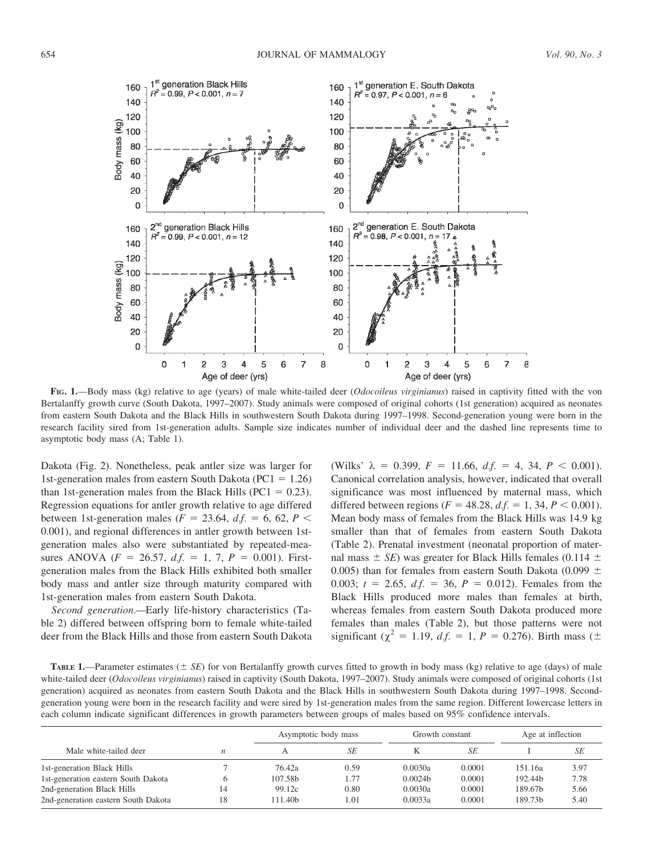

FIG. 1.—Body mass (kg) relative to age (years) of male white-tailed deer (Odocoileus virginianus) raised in captivity fitted with the von Bertalanffy growth curve (South Dakota, 1997–2007). Study animals were composed of original cohorts (1st generation) acquired as neonates from eastern South Dakota and the Black Hills in southwestern South Dakota during 1997–1998. Second-generation young were born in the research facility sired from 1st-generation adults. Sample size indicates number of individual deer and the dashed line represents time to asymptotic body mass (A; Table 1).

Dakota (Fig. 2). Nonetheless, peak antler size was larger for 1st-generation males from eastern South Dakota ( $PC1 = 1.26$ ) than 1st-generation males from the Black Hills ( $PC1 = 0.23$ ). Regression equations for antler growth relative to age differed between 1st-generation males ( $F = 23.64$ ,  $df = 6$ , 62,  $P <$ 0.001), and regional differences in antler growth between 1stgeneration males also were substantiated by repeated-measures ANOVA ( $F = 26.57$ ,  $df = 1, 7, P = 0.001$ ). Firstgeneration males from the Black Hills exhibited both smaller body mass and antler size through maturity compared with 1st-generation males from eastern South Dakota.

Second generation.—Early life-history characteristics (Table 2) differed between offspring born to female white-tailed deer from the Black Hills and those from eastern South Dakota (Wilks'  $\lambda = 0.399, F = 11.66, df. = 4, 34, P < 0.001$ ). Canonical correlation analysis, however, indicated that overall significance was most influenced by maternal mass, which differed between regions ( $F = 48.28$ ,  $d.f. = 1, 34, P < 0.001$ ). Mean body mass of females from the Black Hills was 14.9 kg smaller than that of females from eastern South Dakota (Table 2). Prenatal investment (neonatal proportion of maternal mass  $\pm$  SE) was greater for Black Hills females (0.114  $\pm$ 0.005) than for females from eastern South Dakota (0.099  $\pm$ 0.003;  $t = 2.65$ ,  $df = 36$ ,  $P = 0.012$ ). Females from the Black Hills produced more males than females at birth, whereas females from eastern South Dakota produced more females than males (Table 2), but those patterns were not significant ( $\chi^2$  = 1.19, d.f. = 1, P = 0.276). Birth mass ( $\pm$ 

TABLE 1.—Parameter estimates ( $\pm$  SE) for von Bertalanffy growth curves fitted to growth in body mass (kg) relative to age (days) of male white-tailed deer (*Odocoileus virginianus*) raised in captivity (South Dakota, 1997–2007). Study animals were composed of original cohorts (1st generation) acquired as neonates from eastern South Dakota and the Black Hills in southwestern South Dakota during 1997–1998. Secondgeneration young were born in the research facility and were sired by 1st-generation males from the same region. Different lowercase letters in each column indicate significant differences in growth parameters between groups of males based on 95% confidence intervals.

|                                     |    | Asymptotic body mass |      | Growth constant |        | Age at inflection   |      |
|-------------------------------------|----|----------------------|------|-----------------|--------|---------------------|------|
| Male white-tailed deer              | n  |                      | SE   |                 | SE     |                     | SЕ   |
| 1st-generation Black Hills          |    | 76.42a               | 0.59 | 0.0030a         | 0.0001 | 151.16a             | 3.97 |
| 1st-generation eastern South Dakota |    | 107.58b              | 1.77 | 0.0024h         | 0.0001 | 192.44b             | 7.78 |
| 2nd-generation Black Hills          | 14 | 99.12c               | 0.80 | 0.0030a         | 0.0001 | 189.67b             | 5.66 |
| 2nd-generation eastern South Dakota | 18 | 111.40b              | 1.01 | 0.0033a         | 0.0001 | 189.73 <sub>b</sub> | 5.40 |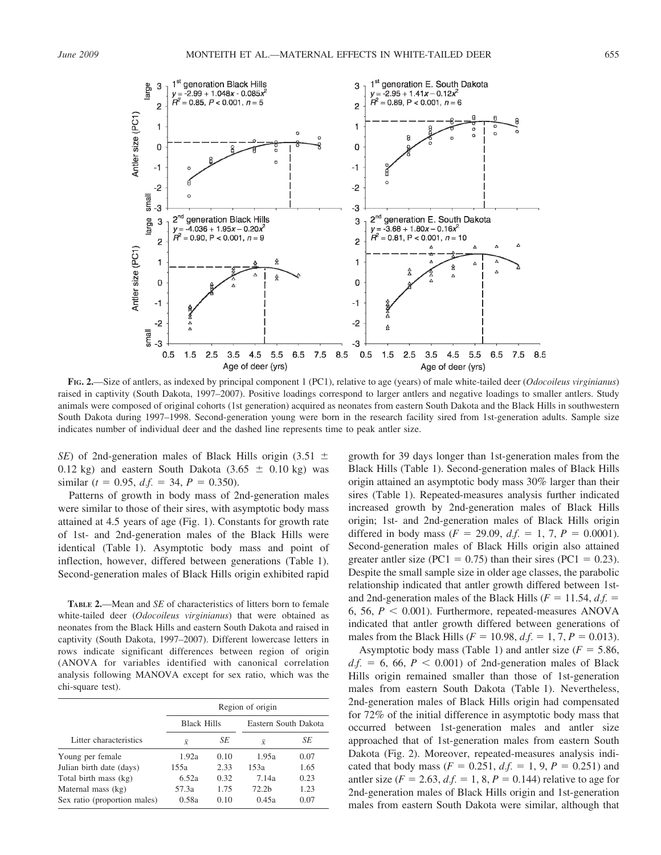

FIG. 2.—Size of antlers, as indexed by principal component 1 (PC1), relative to age (years) of male white-tailed deer (Odocoileus virginianus) raised in captivity (South Dakota, 1997–2007). Positive loadings correspond to larger antlers and negative loadings to smaller antlers. Study animals were composed of original cohorts (1st generation) acquired as neonates from eastern South Dakota and the Black Hills in southwestern South Dakota during 1997–1998. Second-generation young were born in the research facility sired from 1st-generation adults. Sample size indicates number of individual deer and the dashed line represents time to peak antler size.

SE) of 2nd-generation males of Black Hills origin (3.51  $\pm$ 0.12 kg) and eastern South Dakota  $(3.65 \pm 0.10 \text{ kg})$  was similar ( $t = 0.95$ ,  $d.f. = 34$ ,  $P = 0.350$ ).

Patterns of growth in body mass of 2nd-generation males were similar to those of their sires, with asymptotic body mass attained at 4.5 years of age (Fig. 1). Constants for growth rate of 1st- and 2nd-generation males of the Black Hills were identical (Table 1). Asymptotic body mass and point of inflection, however, differed between generations (Table 1). Second-generation males of Black Hills origin exhibited rapid

TABLE 2.—Mean and SE of characteristics of litters born to female white-tailed deer (*Odocoileus virginianus*) that were obtained as neonates from the Black Hills and eastern South Dakota and raised in captivity (South Dakota, 1997–2007). Different lowercase letters in rows indicate significant differences between region of origin (ANOVA for variables identified with canonical correlation analysis following MANOVA except for sex ratio, which was the chi-square test).

|                              | Region of origin   |      |                      |      |  |  |  |
|------------------------------|--------------------|------|----------------------|------|--|--|--|
|                              | <b>Black Hills</b> |      | Eastern South Dakota |      |  |  |  |
| Litter characteristics       | $\bar{X}$          | SЕ   | $\bar{X}$            | SE   |  |  |  |
| Young per female             | 1.92a              | 0.10 | 1.95a                | 0.07 |  |  |  |
| Julian birth date (days)     | 155a               | 2.33 | 153a                 | 1.65 |  |  |  |
| Total birth mass (kg)        | 6.52a              | 0.32 | 7.14a                | 0.23 |  |  |  |
| Maternal mass (kg)           | 57.3a              | 1.75 | 72.2 <sub>b</sub>    | 1.23 |  |  |  |
| Sex ratio (proportion males) | 0.58a              | 0.10 | 0.45a                | 0.07 |  |  |  |

growth for 39 days longer than 1st-generation males from the Black Hills (Table 1). Second-generation males of Black Hills origin attained an asymptotic body mass 30% larger than their sires (Table 1). Repeated-measures analysis further indicated increased growth by 2nd-generation males of Black Hills origin; 1st- and 2nd-generation males of Black Hills origin differed in body mass  $(F = 29.09, d.f. = 1, 7, P = 0.0001)$ . Second-generation males of Black Hills origin also attained greater antler size (PC1 =  $0.75$ ) than their sires (PC1 = 0.23). Despite the small sample size in older age classes, the parabolic relationship indicated that antler growth differed between 1stand 2nd-generation males of the Black Hills ( $F = 11.54$ , d.f. = 6, 56,  $P < 0.001$ ). Furthermore, repeated-measures ANOVA indicated that antler growth differed between generations of males from the Black Hills ( $F = 10.98$ ,  $df = 1, 7, P = 0.013$ ).

Asymptotic body mass (Table 1) and antler size  $(F = 5.86,$  $df = 6$ , 66,  $P < 0.001$ ) of 2nd-generation males of Black Hills origin remained smaller than those of 1st-generation males from eastern South Dakota (Table 1). Nevertheless, 2nd-generation males of Black Hills origin had compensated for 72% of the initial difference in asymptotic body mass that occurred between 1st-generation males and antler size approached that of 1st-generation males from eastern South Dakota (Fig. 2). Moreover, repeated-measures analysis indicated that body mass ( $F = 0.251$ ,  $d.f. = 1, 9, P = 0.251$ ) and antler size ( $F = 2.63$ ,  $df = 1$ ,  $8$ ,  $P = 0.144$ ) relative to age for 2nd-generation males of Black Hills origin and 1st-generation males from eastern South Dakota were similar, although that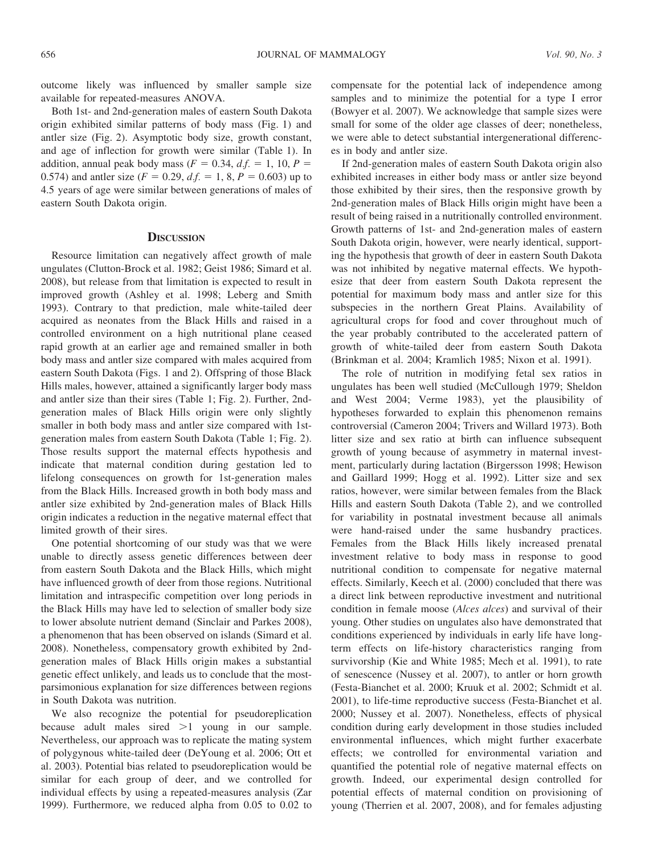outcome likely was influenced by smaller sample size available for repeated-measures ANOVA.

Both 1st- and 2nd-generation males of eastern South Dakota origin exhibited similar patterns of body mass (Fig. 1) and antler size (Fig. 2). Asymptotic body size, growth constant, and age of inflection for growth were similar (Table 1). In addition, annual peak body mass ( $F = 0.34$ ,  $df = 1$ , 10,  $P =$ 0.574) and antler size ( $F = 0.29$ ,  $df = 1$ , 8,  $P = 0.603$ ) up to 4.5 years of age were similar between generations of males of eastern South Dakota origin.

# **DISCUSSION**

Resource limitation can negatively affect growth of male ungulates (Clutton-Brock et al. 1982; Geist 1986; Simard et al. 2008), but release from that limitation is expected to result in improved growth (Ashley et al. 1998; Leberg and Smith 1993). Contrary to that prediction, male white-tailed deer acquired as neonates from the Black Hills and raised in a controlled environment on a high nutritional plane ceased rapid growth at an earlier age and remained smaller in both body mass and antler size compared with males acquired from eastern South Dakota (Figs. 1 and 2). Offspring of those Black Hills males, however, attained a significantly larger body mass and antler size than their sires (Table 1; Fig. 2). Further, 2ndgeneration males of Black Hills origin were only slightly smaller in both body mass and antler size compared with 1stgeneration males from eastern South Dakota (Table 1; Fig. 2). Those results support the maternal effects hypothesis and indicate that maternal condition during gestation led to lifelong consequences on growth for 1st-generation males from the Black Hills. Increased growth in both body mass and antler size exhibited by 2nd-generation males of Black Hills origin indicates a reduction in the negative maternal effect that limited growth of their sires.

One potential shortcoming of our study was that we were unable to directly assess genetic differences between deer from eastern South Dakota and the Black Hills, which might have influenced growth of deer from those regions. Nutritional limitation and intraspecific competition over long periods in the Black Hills may have led to selection of smaller body size to lower absolute nutrient demand (Sinclair and Parkes 2008), a phenomenon that has been observed on islands (Simard et al. 2008). Nonetheless, compensatory growth exhibited by 2ndgeneration males of Black Hills origin makes a substantial genetic effect unlikely, and leads us to conclude that the mostparsimonious explanation for size differences between regions in South Dakota was nutrition.

We also recognize the potential for pseudoreplication because adult males sired  $>1$  young in our sample. Nevertheless, our approach was to replicate the mating system of polygynous white-tailed deer (DeYoung et al. 2006; Ott et al. 2003). Potential bias related to pseudoreplication would be similar for each group of deer, and we controlled for individual effects by using a repeated-measures analysis (Zar 1999). Furthermore, we reduced alpha from 0.05 to 0.02 to compensate for the potential lack of independence among samples and to minimize the potential for a type I error (Bowyer et al. 2007). We acknowledge that sample sizes were small for some of the older age classes of deer; nonetheless, we were able to detect substantial intergenerational differences in body and antler size.

If 2nd-generation males of eastern South Dakota origin also exhibited increases in either body mass or antler size beyond those exhibited by their sires, then the responsive growth by 2nd-generation males of Black Hills origin might have been a result of being raised in a nutritionally controlled environment. Growth patterns of 1st- and 2nd-generation males of eastern South Dakota origin, however, were nearly identical, supporting the hypothesis that growth of deer in eastern South Dakota was not inhibited by negative maternal effects. We hypothesize that deer from eastern South Dakota represent the potential for maximum body mass and antler size for this subspecies in the northern Great Plains. Availability of agricultural crops for food and cover throughout much of the year probably contributed to the accelerated pattern of growth of white-tailed deer from eastern South Dakota (Brinkman et al. 2004; Kramlich 1985; Nixon et al. 1991).

The role of nutrition in modifying fetal sex ratios in ungulates has been well studied (McCullough 1979; Sheldon and West 2004; Verme 1983), yet the plausibility of hypotheses forwarded to explain this phenomenon remains controversial (Cameron 2004; Trivers and Willard 1973). Both litter size and sex ratio at birth can influence subsequent growth of young because of asymmetry in maternal investment, particularly during lactation (Birgersson 1998; Hewison and Gaillard 1999; Hogg et al. 1992). Litter size and sex ratios, however, were similar between females from the Black Hills and eastern South Dakota (Table 2), and we controlled for variability in postnatal investment because all animals were hand-raised under the same husbandry practices. Females from the Black Hills likely increased prenatal investment relative to body mass in response to good nutritional condition to compensate for negative maternal effects. Similarly, Keech et al. (2000) concluded that there was a direct link between reproductive investment and nutritional condition in female moose (*Alces alces*) and survival of their young. Other studies on ungulates also have demonstrated that conditions experienced by individuals in early life have longterm effects on life-history characteristics ranging from survivorship (Kie and White 1985; Mech et al. 1991), to rate of senescence (Nussey et al. 2007), to antler or horn growth (Festa-Bianchet et al. 2000; Kruuk et al. 2002; Schmidt et al. 2001), to life-time reproductive success (Festa-Bianchet et al. 2000; Nussey et al. 2007). Nonetheless, effects of physical condition during early development in those studies included environmental influences, which might further exacerbate effects; we controlled for environmental variation and quantified the potential role of negative maternal effects on growth. Indeed, our experimental design controlled for potential effects of maternal condition on provisioning of young (Therrien et al. 2007, 2008), and for females adjusting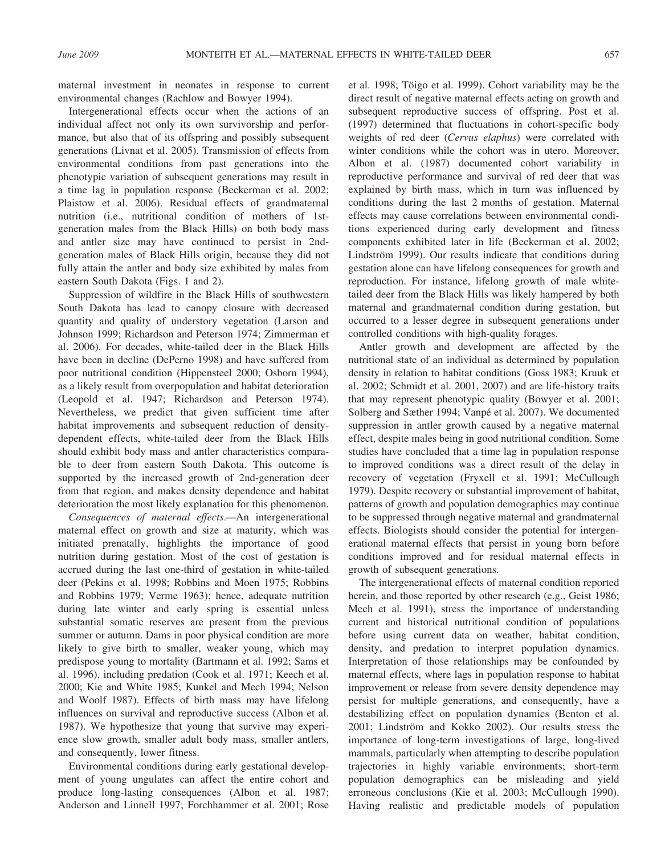maternal investment in neonates in response to current environmental changes (Rachlow and Bowyer 1994).

Intergenerational effects occur when the actions of an individual affect not only its own survivorship and performance, but also that of its offspring and possibly subsequent generations (Livnat et al. 2005). Transmission of effects from environmental conditions from past generations into the phenotypic variation of subsequent generations may result in a time lag in population response (Beckerman et al. 2002; Plaistow et al. 2006). Residual effects of grandmaternal nutrition (i.e., nutritional condition of mothers of 1stgeneration males from the Black Hills) on both body mass and antler size may have continued to persist in 2ndgeneration males of Black Hills origin, because they did not fully attain the antler and body size exhibited by males from eastern South Dakota (Figs. 1 and 2).

Suppression of wildfire in the Black Hills of southwestern South Dakota has lead to canopy closure with decreased quantity and quality of understory vegetation (Larson and Johnson 1999; Richardson and Peterson 1974; Zimmerman et al. 2006). For decades, white-tailed deer in the Black Hills have been in decline (DePerno 1998) and have suffered from poor nutritional condition (Hippensteel 2000; Osborn 1994), as a likely result from overpopulation and habitat deterioration (Leopold et al. 1947; Richardson and Peterson 1974). Nevertheless, we predict that given sufficient time after habitat improvements and subsequent reduction of densitydependent effects, white-tailed deer from the Black Hills should exhibit body mass and antler characteristics comparable to deer from eastern South Dakota. This outcome is supported by the increased growth of 2nd-generation deer from that region, and makes density dependence and habitat deterioration the most likely explanation for this phenomenon.

Consequences of maternal effects.—An intergenerational maternal effect on growth and size at maturity, which was initiated prenatally, highlights the importance of good nutrition during gestation. Most of the cost of gestation is accrued during the last one-third of gestation in white-tailed deer (Pekins et al. 1998; Robbins and Moen 1975; Robbins and Robbins 1979; Verme 1963); hence, adequate nutrition during late winter and early spring is essential unless substantial somatic reserves are present from the previous summer or autumn. Dams in poor physical condition are more likely to give birth to smaller, weaker young, which may predispose young to mortality (Bartmann et al. 1992; Sams et al. 1996), including predation (Cook et al. 1971; Keech et al. 2000; Kie and White 1985; Kunkel and Mech 1994; Nelson and Woolf 1987). Effects of birth mass may have lifelong influences on survival and reproductive success (Albon et al. 1987). We hypothesize that young that survive may experience slow growth, smaller adult body mass, smaller antlers, and consequently, lower fitness.

Environmental conditions during early gestational development of young ungulates can affect the entire cohort and produce long-lasting consequences (Albon et al. 1987; Anderson and Linnell 1997; Forchhammer et al. 2001; Rose

et al. 1998; Töigo et al. 1999). Cohort variability may be the direct result of negative maternal effects acting on growth and subsequent reproductive success of offspring. Post et al. (1997) determined that fluctuations in cohort-specific body weights of red deer (Cervus elaphus) were correlated with winter conditions while the cohort was in utero. Moreover, Albon et al. (1987) documented cohort variability in reproductive performance and survival of red deer that was explained by birth mass, which in turn was influenced by conditions during the last 2 months of gestation. Maternal effects may cause correlations between environmental conditions experienced during early development and fitness components exhibited later in life (Beckerman et al. 2002; Lindström 1999). Our results indicate that conditions during gestation alone can have lifelong consequences for growth and reproduction. For instance, lifelong growth of male whitetailed deer from the Black Hills was likely hampered by both maternal and grandmaternal condition during gestation, but occurred to a lesser degree in subsequent generations under controlled conditions with high-quality forages.

Antler growth and development are affected by the nutritional state of an individual as determined by population density in relation to habitat conditions (Goss 1983; Kruuk et al. 2002; Schmidt et al. 2001, 2007) and are life-history traits that may represent phenotypic quality (Bowyer et al. 2001; Solberg and Sæther 1994; Vanpé et al. 2007). We documented suppression in antler growth caused by a negative maternal effect, despite males being in good nutritional condition. Some studies have concluded that a time lag in population response to improved conditions was a direct result of the delay in recovery of vegetation (Fryxell et al. 1991; McCullough 1979). Despite recovery or substantial improvement of habitat, patterns of growth and population demographics may continue to be suppressed through negative maternal and grandmaternal effects. Biologists should consider the potential for intergenerational maternal effects that persist in young born before conditions improved and for residual maternal effects in growth of subsequent generations.

The intergenerational effects of maternal condition reported herein, and those reported by other research (e.g., Geist 1986; Mech et al. 1991), stress the importance of understanding current and historical nutritional condition of populations before using current data on weather, habitat condition, density, and predation to interpret population dynamics. Interpretation of those relationships may be confounded by maternal effects, where lags in population response to habitat improvement or release from severe density dependence may persist for multiple generations, and consequently, have a destabilizing effect on population dynamics (Benton et al. 2001; Lindström and Kokko 2002). Our results stress the importance of long-term investigations of large, long-lived mammals, particularly when attempting to describe population trajectories in highly variable environments; short-term population demographics can be misleading and yield erroneous conclusions (Kie et al. 2003; McCullough 1990). Having realistic and predictable models of population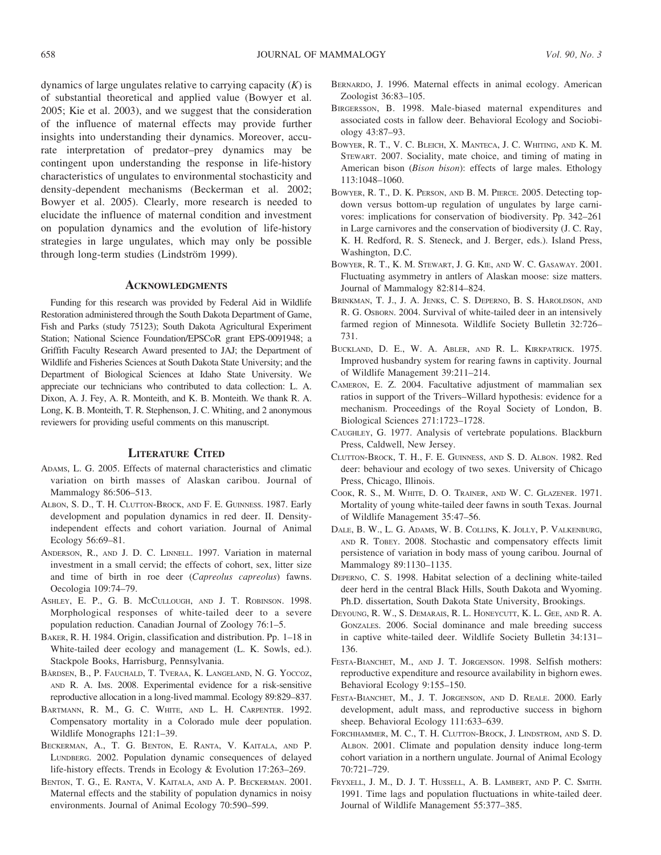dynamics of large ungulates relative to carrying capacity  $(K)$  is of substantial theoretical and applied value (Bowyer et al. 2005; Kie et al. 2003), and we suggest that the consideration of the influence of maternal effects may provide further insights into understanding their dynamics. Moreover, accurate interpretation of predator–prey dynamics may be contingent upon understanding the response in life-history characteristics of ungulates to environmental stochasticity and density-dependent mechanisms (Beckerman et al. 2002; Bowyer et al. 2005). Clearly, more research is needed to elucidate the influence of maternal condition and investment on population dynamics and the evolution of life-history strategies in large ungulates, which may only be possible through long-term studies (Lindström 1999).

## **ACKNOWLEDGMENTS**

Funding for this research was provided by Federal Aid in Wildlife Restoration administered through the South Dakota Department of Game, Fish and Parks (study 75123); South Dakota Agricultural Experiment Station; National Science Foundation/EPSCoR grant EPS-0091948; a Griffith Faculty Research Award presented to JAJ; the Department of Wildlife and Fisheries Sciences at South Dakota State University; and the Department of Biological Sciences at Idaho State University. We appreciate our technicians who contributed to data collection: L. A. Dixon, A. J. Fey, A. R. Monteith, and K. B. Monteith. We thank R. A. Long, K. B. Monteith, T. R. Stephenson, J. C. Whiting, and 2 anonymous reviewers for providing useful comments on this manuscript.

## LITERATURE CITED

- ADAMS, L. G. 2005. Effects of maternal characteristics and climatic variation on birth masses of Alaskan caribou. Journal of Mammalogy 86:506–513.
- ALBON, S. D., T. H. CLUTTON-BROCK, AND F. E. GUINNESS. 1987. Early development and population dynamics in red deer. II. Densityindependent effects and cohort variation. Journal of Animal Ecology 56:69–81.
- ANDERSON, R., AND J. D. C. LINNELL. 1997. Variation in maternal investment in a small cervid; the effects of cohort, sex, litter size and time of birth in roe deer (Capreolus capreolus) fawns. Oecologia 109:74–79.
- ASHLEY, E. P., G. B. McCULLOUGH, AND J. T. ROBINSON. 1998. Morphological responses of white-tailed deer to a severe population reduction. Canadian Journal of Zoology 76:1–5.
- BAKER, R. H. 1984. Origin, classification and distribution. Pp. 1–18 in White-tailed deer ecology and management (L. K. Sowls, ed.). Stackpole Books, Harrisburg, Pennsylvania.
- BÅRDSEN, B., P. FAUCHALD, T. TVERAA, K. LANGELAND, N. G. YOCCOZ, AND R. A. IMS. 2008. Experimental evidence for a risk-sensitive reproductive allocation in a long-lived mammal. Ecology 89:829–837.
- BARTMANN, R. M., G. C. WHITE, AND L. H. CARPENTER. 1992. Compensatory mortality in a Colorado mule deer population. Wildlife Monographs 121:1–39.
- BECKERMAN, A., T. G. BENTON, E. RANTA, V. KAITALA, AND P. LUNDBERG. 2002. Population dynamic consequences of delayed life-history effects. Trends in Ecology & Evolution 17:263–269.
- BENTON, T. G., E. RANTA, V. KAITALA, AND A. P. BECKERMAN. 2001. Maternal effects and the stability of population dynamics in noisy environments. Journal of Animal Ecology 70:590–599.
- BERNARDO, J. 1996. Maternal effects in animal ecology. American Zoologist 36:83–105.
- BIRGERSSON, B. 1998. Male-biased maternal expenditures and associated costs in fallow deer. Behavioral Ecology and Sociobiology 43:87–93.
- BOWYER, R. T., V. C. BLEICH, X. MANTECA, J. C. WHITING, AND K. M. STEWART. 2007. Sociality, mate choice, and timing of mating in American bison (*Bison bison*): effects of large males. Ethology 113:1048–1060.
- BOWYER, R. T., D. K. PERSON, AND B. M. PIERCE. 2005. Detecting topdown versus bottom-up regulation of ungulates by large carnivores: implications for conservation of biodiversity. Pp. 342–261 in Large carnivores and the conservation of biodiversity (J. C. Ray, K. H. Redford, R. S. Steneck, and J. Berger, eds.). Island Press, Washington, D.C.
- BOWYER, R. T., K. M. STEWART, J. G. KIE, AND W. C. GASAWAY. 2001. Fluctuating asymmetry in antlers of Alaskan moose: size matters. Journal of Mammalogy 82:814–824.
- BRINKMAN, T. J., J. A. JENKS, C. S. DEPERNO, B. S. HAROLDSON, AND R. G. OSBORN. 2004. Survival of white-tailed deer in an intensively farmed region of Minnesota. Wildlife Society Bulletin 32:726– 731.
- BUCKLAND, D. E., W. A. ABLER, AND R. L. KIRKPATRICK. 1975. Improved husbandry system for rearing fawns in captivity. Journal of Wildlife Management 39:211–214.
- CAMERON, E. Z. 2004. Facultative adjustment of mammalian sex ratios in support of the Trivers–Willard hypothesis: evidence for a mechanism. Proceedings of the Royal Society of London, B. Biological Sciences 271:1723–1728.
- CAUGHLEY, G. 1977. Analysis of vertebrate populations. Blackburn Press, Caldwell, New Jersey.
- CLUTTON-BROCK, T. H., F. E. GUINNESS, AND S. D. ALBON. 1982. Red deer: behaviour and ecology of two sexes. University of Chicago Press, Chicago, Illinois.
- COOK, R. S., M. WHITE, D. O. TRAINER, AND W. C. GLAZENER. 1971. Mortality of young white-tailed deer fawns in south Texas. Journal of Wildlife Management 35:47–56.
- DALE, B. W., L. G. ADAMS, W. B. COLLINS, K. JOLLY, P. VALKENBURG, AND R. TOBEY. 2008. Stochastic and compensatory effects limit persistence of variation in body mass of young caribou. Journal of Mammalogy 89:1130–1135.
- DEPERNO, C. S. 1998. Habitat selection of a declining white-tailed deer herd in the central Black Hills, South Dakota and Wyoming. Ph.D. dissertation, South Dakota State University, Brookings.
- DEYOUNG, R. W., S. DEMARAIS, R. L. HONEYCUTT, K. L. GEE, AND R. A. GONZALES. 2006. Social dominance and male breeding success in captive white-tailed deer. Wildlife Society Bulletin 34:131– 136.
- FESTA-BIANCHET, M., AND J. T. JORGENSON. 1998. Selfish mothers: reproductive expenditure and resource availability in bighorn ewes. Behavioral Ecology 9:155–150.
- FESTA-BIANCHET, M., J. T. JORGENSON, AND D. REALE. 2000. Early development, adult mass, and reproductive success in bighorn sheep. Behavioral Ecology 111:633–639.
- FORCHHAMMER, M. C., T. H. CLUTTON-BROCK, J. LINDSTROM, AND S. D. ALBON. 2001. Climate and population density induce long-term cohort variation in a northern ungulate. Journal of Animal Ecology 70:721–729.
- FRYXELL, J. M., D. J. T. HUSSELL, A. B. LAMBERT, AND P. C. SMITH. 1991. Time lags and population fluctuations in white-tailed deer. Journal of Wildlife Management 55:377–385.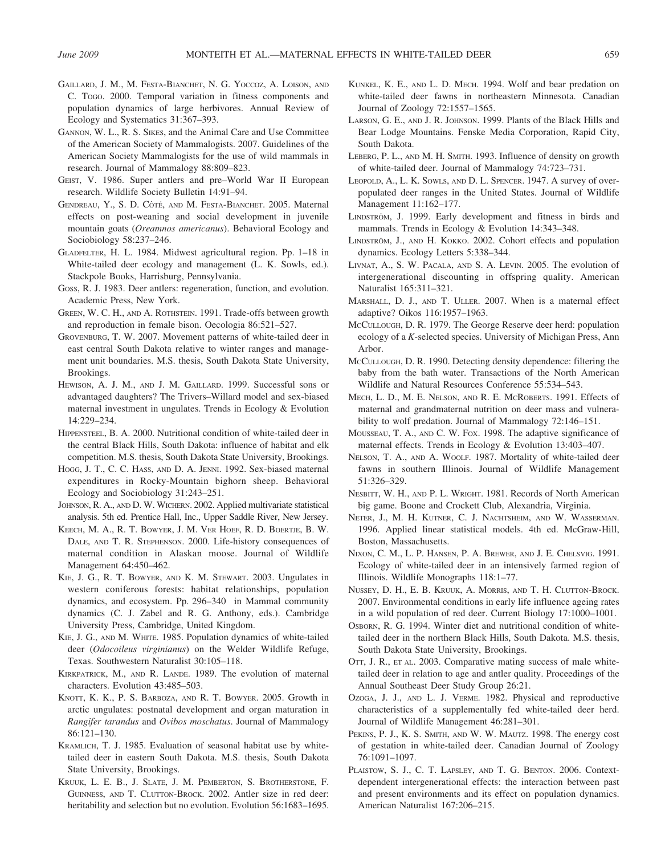- GAILLARD, J. M., M. FESTA-BIANCHET, N. G. YOCCOZ, A. LOISON, AND C. TOGO. 2000. Temporal variation in fitness components and population dynamics of large herbivores. Annual Review of Ecology and Systematics 31:367–393.
- GANNON, W. L., R. S. SIKES, and the Animal Care and Use Committee of the American Society of Mammalogists. 2007. Guidelines of the American Society Mammalogists for the use of wild mammals in research. Journal of Mammalogy 88:809–823.
- GEIST, V. 1986. Super antlers and pre–World War II European research. Wildlife Society Bulletin 14:91–94.
- GENDREAU, Y., S. D. CÔTÉ, AND M. FESTA-BIANCHET. 2005. Maternal effects on post-weaning and social development in juvenile mountain goats (Oreamnos americanus). Behavioral Ecology and Sociobiology 58:237–246.
- GLADFELTER, H. L. 1984. Midwest agricultural region. Pp. 1–18 in White-tailed deer ecology and management (L. K. Sowls, ed.). Stackpole Books, Harrisburg, Pennsylvania.
- GOSS, R. J. 1983. Deer antlers: regeneration, function, and evolution. Academic Press, New York.
- GREEN, W. C. H., AND A. ROTHSTEIN. 1991. Trade-offs between growth and reproduction in female bison. Oecologia 86:521–527.
- GROVENBURG, T. W. 2007. Movement patterns of white-tailed deer in east central South Dakota relative to winter ranges and management unit boundaries. M.S. thesis, South Dakota State University, Brookings.
- HEWISON, A. J. M., AND J. M. GAILLARD. 1999. Successful sons or advantaged daughters? The Trivers–Willard model and sex-biased maternal investment in ungulates. Trends in Ecology & Evolution 14:229–234.
- HIPPENSTEEL, B. A. 2000. Nutritional condition of white-tailed deer in the central Black Hills, South Dakota: influence of habitat and elk competition. M.S. thesis, South Dakota State University, Brookings.
- HOGG, J. T., C. C. HASS, AND D. A. JENNI. 1992. Sex-biased maternal expenditures in Rocky-Mountain bighorn sheep. Behavioral Ecology and Sociobiology 31:243–251.
- JOHNSON, R. A., AND D. W. WICHERN. 2002. Applied multivariate statistical analysis. 5th ed. Prentice Hall, Inc., Upper Saddle River, New Jersey.
- KEECH, M. A., R. T. BOWYER, J. M. VER HOEF, R. D. BOERTJE, B. W. DALE, AND T. R. STEPHENSON. 2000. Life-history consequences of maternal condition in Alaskan moose. Journal of Wildlife Management 64:450–462.
- KIE, J. G., R. T. BOWYER, AND K. M. STEWART. 2003. Ungulates in western coniferous forests: habitat relationships, population dynamics, and ecosystem. Pp. 296–340 in Mammal community dynamics (C. J. Zabel and R. G. Anthony, eds.). Cambridge University Press, Cambridge, United Kingdom.
- KIE, J. G., AND M. WHITE. 1985. Population dynamics of white-tailed deer (Odocoileus virginianus) on the Welder Wildlife Refuge, Texas. Southwestern Naturalist 30:105–118.
- KIRKPATRICK, M., AND R. LANDE. 1989. The evolution of maternal characters. Evolution 43:485–503.
- KNOTT, K. K., P. S. BARBOZA, AND R. T. BOWYER. 2005. Growth in arctic ungulates: postnatal development and organ maturation in Rangifer tarandus and Ovibos moschatus. Journal of Mammalogy 86:121–130.
- KRAMLICH, T. J. 1985. Evaluation of seasonal habitat use by whitetailed deer in eastern South Dakota. M.S. thesis, South Dakota State University, Brookings.
- KRUUK, L. E. B., J. SLATE, J. M. PEMBERTON, S. BROTHERSTONE, F. GUINNESS, AND T. CLUTTON-BROCK. 2002. Antler size in red deer: heritability and selection but no evolution. Evolution 56:1683–1695.
- KUNKEL, K. E., AND L. D. MECH. 1994. Wolf and bear predation on white-tailed deer fawns in northeastern Minnesota. Canadian Journal of Zoology 72:1557–1565.
- LARSON, G. E., AND J. R. JOHNSON. 1999. Plants of the Black Hills and Bear Lodge Mountains. Fenske Media Corporation, Rapid City, South Dakota.
- LEBERG, P. L., AND M. H. SMITH. 1993. Influence of density on growth of white-tailed deer. Journal of Mammalogy 74:723–731.
- LEOPOLD, A., L. K. SOWLS, AND D. L. SPENCER. 1947. A survey of overpopulated deer ranges in the United States. Journal of Wildlife Management 11:162–177.
- LINDSTRÖM, J. 1999. Early development and fitness in birds and mammals. Trends in Ecology & Evolution 14:343–348.
- LINDSTRÖM, J., AND H. KOKKO. 2002. Cohort effects and population dynamics. Ecology Letters 5:338–344.
- LIVNAT, A., S. W. PACALA, AND S. A. LEVIN. 2005. The evolution of intergenerational discounting in offspring quality. American Naturalist 165:311–321.
- MARSHALL, D. J., AND T. ULLER. 2007. When is a maternal effect adaptive? Oikos 116:1957–1963.
- MCCULLOUGH, D. R. 1979. The George Reserve deer herd: population ecology of a K-selected species. University of Michigan Press, Ann Arbor.
- MCCULLOUGH, D. R. 1990. Detecting density dependence: filtering the baby from the bath water. Transactions of the North American Wildlife and Natural Resources Conference 55:534–543.
- MECH, L. D., M. E. NELSON, AND R. E. MCROBERTS. 1991. Effects of maternal and grandmaternal nutrition on deer mass and vulnerability to wolf predation. Journal of Mammalogy 72:146–151.
- MOUSSEAU, T. A., AND C. W. FOX. 1998. The adaptive significance of maternal effects. Trends in Ecology & Evolution 13:403–407.
- NELSON, T. A., AND A. WOOLF. 1987. Mortality of white-tailed deer fawns in southern Illinois. Journal of Wildlife Management 51:326–329.
- NESBITT, W. H., AND P. L. WRIGHT. 1981. Records of North American big game. Boone and Crockett Club, Alexandria, Virginia.
- NETER, J., M. H. KUTNER, C. J. NACHTSHEIM, AND W. WASSERMAN. 1996. Applied linear statistical models. 4th ed. McGraw-Hill, Boston, Massachusetts.
- NIXON, C. M., L. P. HANSEN, P. A. BREWER, AND J. E. CHELSVIG. 1991. Ecology of white-tailed deer in an intensively farmed region of Illinois. Wildlife Monographs 118:1–77.
- NUSSEY, D. H., E. B. KRUUK, A. MORRIS, AND T. H. CLUTTON-BROCK. 2007. Environmental conditions in early life influence ageing rates in a wild population of red deer. Current Biology 17:1000–1001.
- OSBORN, R. G. 1994. Winter diet and nutritional condition of whitetailed deer in the northern Black Hills, South Dakota. M.S. thesis, South Dakota State University, Brookings.
- OTT, J. R., ET AL. 2003. Comparative mating success of male whitetailed deer in relation to age and antler quality. Proceedings of the Annual Southeast Deer Study Group 26:21.
- OZOGA, J. J., AND L. J. VERME. 1982. Physical and reproductive characteristics of a supplementally fed white-tailed deer herd. Journal of Wildlife Management 46:281–301.
- PEKINS, P. J., K. S. SMITH, AND W. W. MAUTZ. 1998. The energy cost of gestation in white-tailed deer. Canadian Journal of Zoology 76:1091–1097.
- PLAISTOW, S. J., C. T. LAPSLEY, AND T. G. BENTON. 2006. Contextdependent intergenerational effects: the interaction between past and present environments and its effect on population dynamics. American Naturalist 167:206–215.